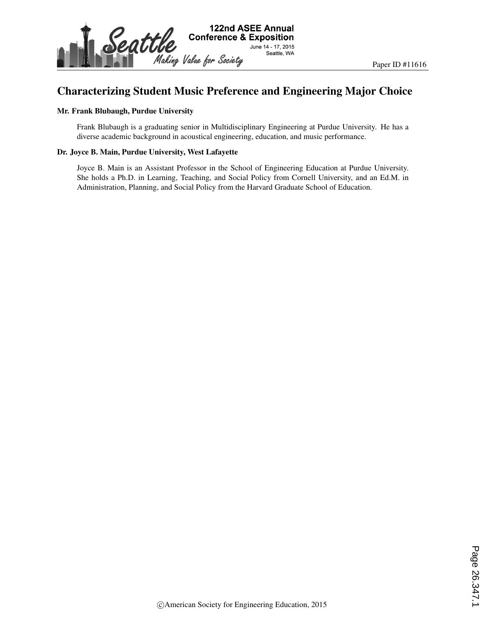

# Characterizing Student Music Preference and Engineering Major Choice

#### Mr. Frank Blubaugh, Purdue University

Frank Blubaugh is a graduating senior in Multidisciplinary Engineering at Purdue University. He has a diverse academic background in acoustical engineering, education, and music performance.

#### Dr. Joyce B. Main, Purdue University, West Lafayette

Joyce B. Main is an Assistant Professor in the School of Engineering Education at Purdue University. She holds a Ph.D. in Learning, Teaching, and Social Policy from Cornell University, and an Ed.M. in Administration, Planning, and Social Policy from the Harvard Graduate School of Education.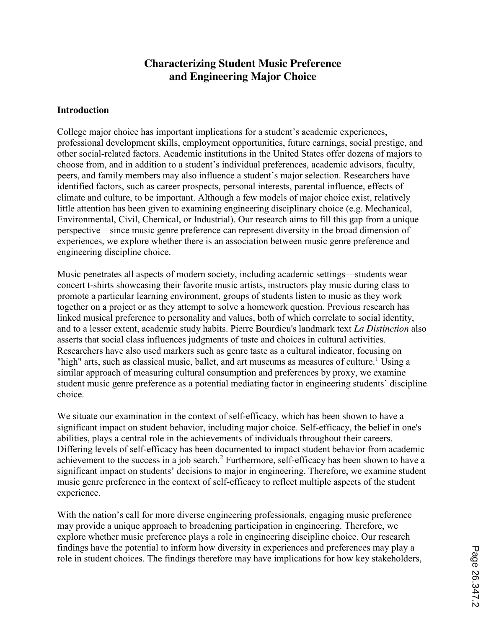# **Characterizing Student Music Preference and Engineering Major Choice**

#### **Introduction**

College major choice has important implications for a student's academic experiences, professional development skills, employment opportunities, future earnings, social prestige, and other social-related factors. Academic institutions in the United States offer dozens of majors to choose from, and in addition to a student's individual preferences, academic advisors, faculty, peers, and family members may also influence a student's major selection. Researchers have identified factors, such as career prospects, personal interests, parental influence, effects of climate and culture, to be important. Although a few models of major choice exist, relatively little attention has been given to examining engineering disciplinary choice (e.g. Mechanical, Environmental, Civil, Chemical, or Industrial). Our research aims to fill this gap from a unique perspective—since music genre preference can represent diversity in the broad dimension of experiences, we explore whether there is an association between music genre preference and engineering discipline choice.

Music penetrates all aspects of modern society, including academic settings—students wear concert t-shirts showcasing their favorite music artists, instructors play music during class to promote a particular learning environment, groups of students listen to music as they work together on a project or as they attempt to solve a homework question. Previous research has linked musical preference to personality and values, both of which correlate to social identity, and to a lesser extent, academic study habits. Pierre Bourdieu's landmark text *La Distinction* also asserts that social class influences judgments of taste and choices in cultural activities. Researchers have also used markers such as genre taste as a cultural indicator, focusing on "high" arts, such as classical music, ballet, and art museums as measures of culture.<sup>1</sup> Using a similar approach of measuring cultural consumption and preferences by proxy, we examine student music genre preference as a potential mediating factor in engineering students' discipline choice.

We situate our examination in the context of self-efficacy, which has been shown to have a significant impact on student behavior, including major choice. Self-efficacy, the belief in one's abilities, plays a central role in the achievements of individuals throughout their careers. Differing levels of self-efficacy has been documented to impact student behavior from academic achievement to the success in a job search.<sup>2</sup> Furthermore, self-efficacy has been shown to have a significant impact on students' decisions to major in engineering. Therefore, we examine student music genre preference in the context of self-efficacy to reflect multiple aspects of the student experience.

With the nation's call for more diverse engineering professionals, engaging music preference may provide a unique approach to broadening participation in engineering. Therefore, we explore whether music preference plays a role in engineering discipline choice. Our research findings have the potential to inform how diversity in experiences and preferences may play a role in student choices. The findings therefore may have implications for how key stakeholders,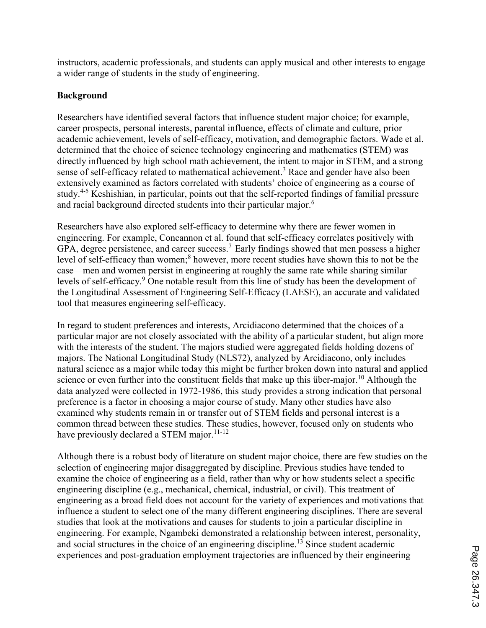instructors, academic professionals, and students can apply musical and other interests to engage a wider range of students in the study of engineering.

# **Background**

Researchers have identified several factors that influence student major choice; for example, career prospects, personal interests, parental influence, effects of climate and culture, prior academic achievement, levels of self-efficacy, motivation, and demographic factors. Wade et al. determined that the choice of science technology engineering and mathematics (STEM) was directly influenced by high school math achievement, the intent to major in STEM, and a strong sense of self-efficacy related to mathematical achievement.<sup>3</sup> Race and gender have also been extensively examined as factors correlated with students' choice of engineering as a course of study.<sup>4-5</sup> Keshishian, in particular, points out that the self-reported findings of familial pressure and racial background directed students into their particular major.<sup>6</sup>

Researchers have also explored self-efficacy to determine why there are fewer women in engineering. For example, Concannon et al. found that self-efficacy correlates positively with GPA, degree persistence, and career success.<sup>7</sup> Early findings showed that men possess a higher level of self-efficacy than women; <sup>8</sup> however, more recent studies have shown this to not be the case—men and women persist in engineering at roughly the same rate while sharing similar levels of self-efficacy.<sup>9</sup> One notable result from this line of study has been the development of the Longitudinal Assessment of Engineering Self-Efficacy (LAESE), an accurate and validated tool that measures engineering self-efficacy.

In regard to student preferences and interests, Arcidiacono determined that the choices of a particular major are not closely associated with the ability of a particular student, but align more with the interests of the student. The majors studied were aggregated fields holding dozens of majors. The National Longitudinal Study (NLS72), analyzed by Arcidiacono, only includes natural science as a major while today this might be further broken down into natural and applied science or even further into the constituent fields that make up this über-major.<sup>10</sup> Although the data analyzed were collected in 1972-1986, this study provides a strong indication that personal preference is a factor in choosing a major course of study. Many other studies have also examined why students remain in or transfer out of STEM fields and personal interest is a common thread between these studies. These studies, however, focused only on students who have previously declared a STEM major.<sup>11-12</sup>

Although there is a robust body of literature on student major choice, there are few studies on the selection of engineering major disaggregated by discipline. Previous studies have tended to examine the choice of engineering as a field, rather than why or how students select a specific engineering discipline (e.g., mechanical, chemical, industrial, or civil). This treatment of engineering as a broad field does not account for the variety of experiences and motivations that influence a student to select one of the many different engineering disciplines. There are several studies that look at the motivations and causes for students to join a particular discipline in engineering. For example, Ngambeki demonstrated a relationship between interest, personality, and social structures in the choice of an engineering discipline.<sup>13</sup> Since student academic experiences and post-graduation employment trajectories are influenced by their engineering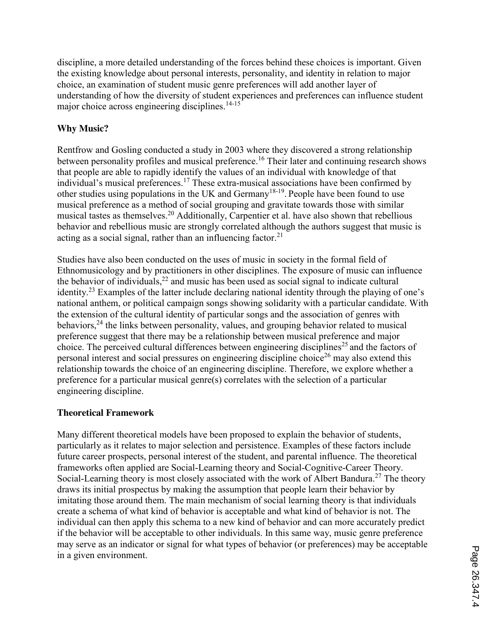discipline, a more detailed understanding of the forces behind these choices is important. Given the existing knowledge about personal interests, personality, and identity in relation to major choice, an examination of student music genre preferences will add another layer of understanding of how the diversity of student experiences and preferences can influence student major choice across engineering disciplines. 14-15

# **Why Music?**

Rentfrow and Gosling conducted a study in 2003 where they discovered a strong relationship between personality profiles and musical preference. <sup>16</sup> Their later and continuing research shows that people are able to rapidly identify the values of an individual with knowledge of that individual's musical preferences.<sup>17</sup> These extra-musical associations have been confirmed by other studies using populations in the UK and Germany<sup>18-19</sup>. People have been found to use musical preference as a method of social grouping and gravitate towards those with similar musical tastes as themselves.<sup>20</sup> Additionally, Carpentier et al. have also shown that rebellious behavior and rebellious music are strongly correlated although the authors suggest that music is acting as a social signal, rather than an influencing factor.<sup>21</sup>

Studies have also been conducted on the uses of music in society in the formal field of Ethnomusicology and by practitioners in other disciplines. The exposure of music can influence the behavior of individuals,<sup>22</sup> and music has been used as social signal to indicate cultural identity.<sup>23</sup> Examples of the latter include declaring national identity through the playing of one's national anthem, or political campaign songs showing solidarity with a particular candidate. With the extension of the cultural identity of particular songs and the association of genres with behaviors,<sup>24</sup> the links between personality, values, and grouping behavior related to musical preference suggest that there may be a relationship between musical preference and major choice. The perceived cultural differences between engineering disciplines<sup>25</sup> and the factors of personal interest and social pressures on engineering discipline choice<sup>26</sup> may also extend this relationship towards the choice of an engineering discipline. Therefore, we explore whether a preference for a particular musical genre(s) correlates with the selection of a particular engineering discipline.

# **Theoretical Framework**

Many different theoretical models have been proposed to explain the behavior of students, particularly as it relates to major selection and persistence. Examples of these factors include future career prospects, personal interest of the student, and parental influence. The theoretical frameworks often applied are Social-Learning theory and Social-Cognitive-Career Theory. Social-Learning theory is most closely associated with the work of Albert Bandura.<sup>27</sup> The theory draws its initial prospectus by making the assumption that people learn their behavior by imitating those around them. The main mechanism of social learning theory is that individuals create a schema of what kind of behavior is acceptable and what kind of behavior is not. The individual can then apply this schema to a new kind of behavior and can more accurately predict if the behavior will be acceptable to other individuals. In this same way, music genre preference may serve as an indicator or signal for what types of behavior (or preferences) may be acceptable in a given environment.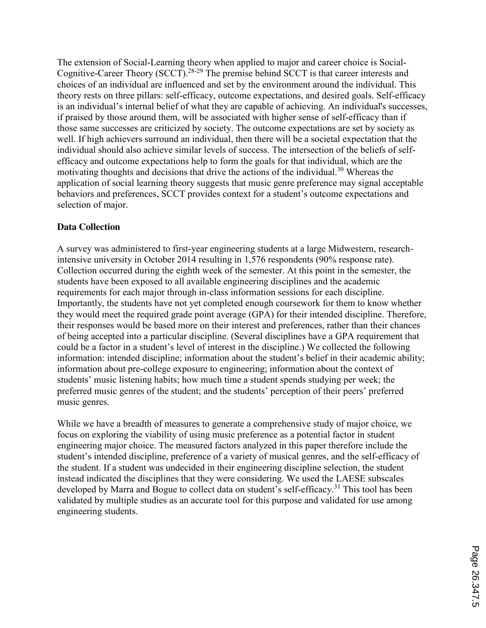The extension of Social-Learning theory when applied to major and career choice is Social-Cognitive-Career Theory (SCCT).28-29 The premise behind SCCT is that career interests and choices of an individual are influenced and set by the environment around the individual. This theory rests on three pillars: self-efficacy, outcome expectations, and desired goals. Self-efficacy is an individual's internal belief of what they are capable of achieving. An individual's successes, if praised by those around them, will be associated with higher sense of self-efficacy than if those same successes are criticized by society. The outcome expectations are set by society as well. If high achievers surround an individual, then there will be a societal expectation that the individual should also achieve similar levels of success. The intersection of the beliefs of selfefficacy and outcome expectations help to form the goals for that individual, which are the motivating thoughts and decisions that drive the actions of the individual.<sup>30</sup> Whereas the application of social learning theory suggests that music genre preference may signal acceptable behaviors and preferences, SCCT provides context for a student's outcome expectations and selection of major.

### **Data Collection**

A survey was administered to first-year engineering students at a large Midwestern, researchintensive university in October 2014 resulting in 1,576 respondents (90% response rate). Collection occurred during the eighth week of the semester. At this point in the semester, the students have been exposed to all available engineering disciplines and the academic requirements for each major through in-class information sessions for each discipline. Importantly, the students have not yet completed enough coursework for them to know whether they would meet the required grade point average (GPA) for their intended discipline. Therefore, their responses would be based more on their interest and preferences, rather than their chances of being accepted into a particular discipline. (Several disciplines have a GPA requirement that could be a factor in a student's level of interest in the discipline.) We collected the following information: intended discipline; information about the student's belief in their academic ability; information about pre-college exposure to engineering; information about the context of students' music listening habits; how much time a student spends studying per week; the preferred music genres of the student; and the students' perception of their peers' preferred music genres.

While we have a breadth of measures to generate a comprehensive study of major choice, we focus on exploring the viability of using music preference as a potential factor in student engineering major choice. The measured factors analyzed in this paper therefore include the student's intended discipline, preference of a variety of musical genres, and the self-efficacy of the student. If a student was undecided in their engineering discipline selection, the student instead indicated the disciplines that they were considering. We used the LAESE subscales developed by Marra and Bogue to collect data on student's self-efficacy.<sup>31</sup> This tool has been validated by multiple studies as an accurate tool for this purpose and validated for use among engineering students.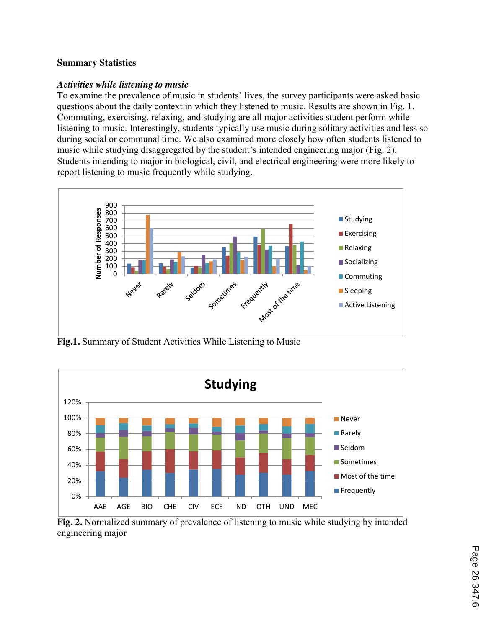### **Summary Statistics**

#### *Activities while listening to music*

To examine the prevalence of music in students' lives, the survey participants were asked basic questions about the daily context in which they listened to music. Results are shown in Fig. 1. Commuting, exercising, relaxing, and studying are all major activities student perform while listening to music. Interestingly, students typically use music during solitary activities and less so during social or communal time. We also examined more closely how often students listened to music while studying disaggregated by the student's intended engineering major (Fig. 2). Students intending to major in biological, civil, and electrical engineering were more likely to report listening to music frequently while studying.



**Fig.1.** Summary of Student Activities While Listening to Music



**Fig. 2.** Normalized summary of prevalence of listening to music while studying by intended engineering major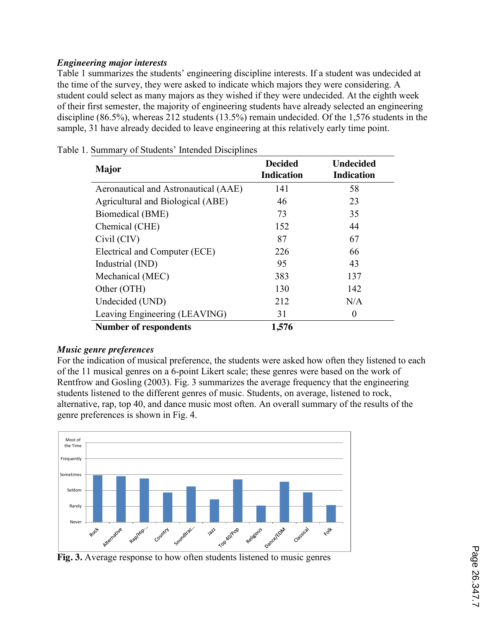# *Engineering major interests*

Table 1 summarizes the students' engineering discipline interests. If a student was undecided at the time of the survey, they were asked to indicate which majors they were considering. A student could select as many majors as they wished if they were undecided. At the eighth week of their first semester, the majority of engineering students have already selected an engineering discipline (86.5%), whereas 212 students (13.5%) remain undecided. Of the 1,576 students in the sample, 31 have already decided to leave engineering at this relatively early time point.

| <b>Major</b>                         | <b>Decided</b><br><b>Indication</b> | <b>Undecided</b><br><b>Indication</b> |
|--------------------------------------|-------------------------------------|---------------------------------------|
| Aeronautical and Astronautical (AAE) | 141                                 | 58                                    |
| Agricultural and Biological (ABE)    | 46                                  | 23                                    |
| Biomedical (BME)                     | 73                                  | 35                                    |
| Chemical (CHE)                       | 152                                 | 44                                    |
| Civil (CIV)                          | 87                                  | 67                                    |
| Electrical and Computer (ECE)        | 226                                 | 66                                    |
| Industrial (IND)                     | 95                                  | 43                                    |
| Mechanical (MEC)                     | 383                                 | 137                                   |
| Other (OTH)                          | 130                                 | 142                                   |
| Undecided (UND)                      | 212                                 | N/A                                   |
| Leaving Engineering (LEAVING)        | 31                                  | $\theta$                              |
| <b>Number of respondents</b>         | 1,576                               |                                       |

Table 1. Summary of Students' Intended Disciplines

# *Music genre preferences*

For the indication of musical preference, the students were asked how often they listened to each of the 11 musical genres on a 6-point Likert scale; these genres were based on the work of Rentfrow and Gosling (2003). Fig. 3 summarizes the average frequency that the engineering students listened to the different genres of music. Students, on average, listened to rock, alternative, rap, top 40, and dance music most often. An overall summary of the results of the genre preferences is shown in Fig. 4.



**Fig. 3.** Average response to how often students listened to music genres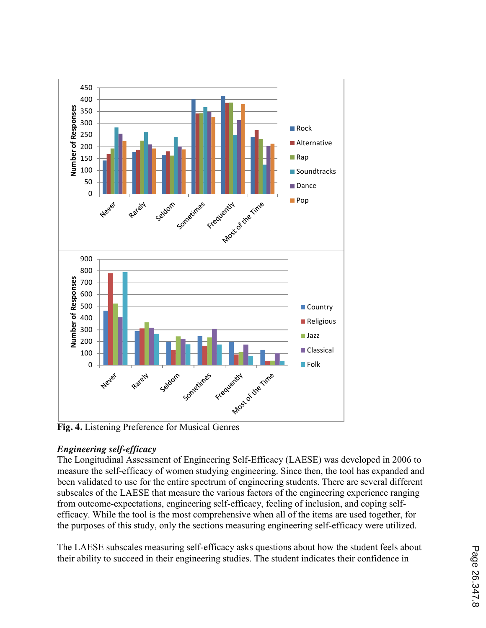

# *Engineering self-efficacy*

The Longitudinal Assessment of Engineering Self-Efficacy (LAESE) was developed in 2006 to measure the self-efficacy of women studying engineering. Since then, the tool has expanded and been validated to use for the entire spectrum of engineering students. There are several different subscales of the LAESE that measure the various factors of the engineering experience ranging from outcome-expectations, engineering self-efficacy, feeling of inclusion, and coping selfefficacy. While the tool is the most comprehensive when all of the items are used together, for the purposes of this study, only the sections measuring engineering self-efficacy were utilized.

The LAESE subscales measuring self-efficacy asks questions about how the student feels about their ability to succeed in their engineering studies. The student indicates their confidence in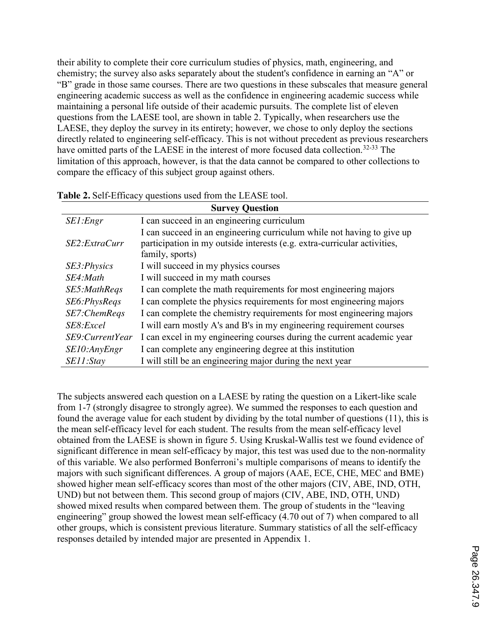their ability to complete their core curriculum studies of physics, math, engineering, and chemistry; the survey also asks separately about the student's confidence in earning an "A" or "B" grade in those same courses. There are two questions in these subscales that measure general engineering academic success as well as the confidence in engineering academic success while maintaining a personal life outside of their academic pursuits. The complete list of eleven questions from the LAESE tool, are shown in table 2. Typically, when researchers use the LAESE, they deploy the survey in its entirety; however, we chose to only deploy the sections directly related to engineering self-efficacy. This is not without precedent as previous researchers have omitted parts of the LAESE in the interest of more focused data collection.<sup>32-33</sup> The limitation of this approach, however, is that the data cannot be compared to other collections to compare the efficacy of this subject group against others.

| <b>Survey Question</b> |                                                                                                                                                                       |  |  |  |  |  |  |  |
|------------------------|-----------------------------------------------------------------------------------------------------------------------------------------------------------------------|--|--|--|--|--|--|--|
| SE1:Engr               | I can succeed in an engineering curriculum                                                                                                                            |  |  |  |  |  |  |  |
| SE2:ExtraCurr          | I can succeed in an engineering curriculum while not having to give up<br>participation in my outside interests (e.g. extra-curricular activities,<br>family, sports) |  |  |  |  |  |  |  |
| SE3: Physics           | I will succeed in my physics courses                                                                                                                                  |  |  |  |  |  |  |  |
| SE4:Math               | I will succeed in my math courses                                                                                                                                     |  |  |  |  |  |  |  |
| SE5:MathReqs           | I can complete the math requirements for most engineering majors                                                                                                      |  |  |  |  |  |  |  |
| SE6:PhysReqs           | I can complete the physics requirements for most engineering majors                                                                                                   |  |  |  |  |  |  |  |
| SE7:ChemReqs           | I can complete the chemistry requirements for most engineering majors                                                                                                 |  |  |  |  |  |  |  |
| SE8:Excel              | I will earn mostly A's and B's in my engineering requirement courses                                                                                                  |  |  |  |  |  |  |  |
| SE9:CurrentYear        | I can excel in my engineering courses during the current academic year                                                                                                |  |  |  |  |  |  |  |
| SE10:AnyEngr           | I can complete any engineering degree at this institution                                                                                                             |  |  |  |  |  |  |  |
| SE11:Stay              | I will still be an engineering major during the next year                                                                                                             |  |  |  |  |  |  |  |

| Table 2. Self-Efficacy questions used from the LEASE tool. |  |  |  |
|------------------------------------------------------------|--|--|--|
|------------------------------------------------------------|--|--|--|

The subjects answered each question on a LAESE by rating the question on a Likert-like scale from 1-7 (strongly disagree to strongly agree). We summed the responses to each question and found the average value for each student by dividing by the total number of questions (11), this is the mean self-efficacy level for each student. The results from the mean self-efficacy level obtained from the LAESE is shown in figure 5. Using Kruskal-Wallis test we found evidence of significant difference in mean self-efficacy by major, this test was used due to the non-normality of this variable. We also performed Bonferroni's multiple comparisons of means to identify the majors with such significant differences. A group of majors (AAE, ECE, CHE, MEC and BME) showed higher mean self-efficacy scores than most of the other majors (CIV, ABE, IND, OTH, UND) but not between them. This second group of majors (CIV, ABE, IND, OTH, UND) showed mixed results when compared between them. The group of students in the "leaving engineering" group showed the lowest mean self-efficacy (4.70 out of 7) when compared to all other groups, which is consistent previous literature. Summary statistics of all the self-efficacy responses detailed by intended major are presented in Appendix 1.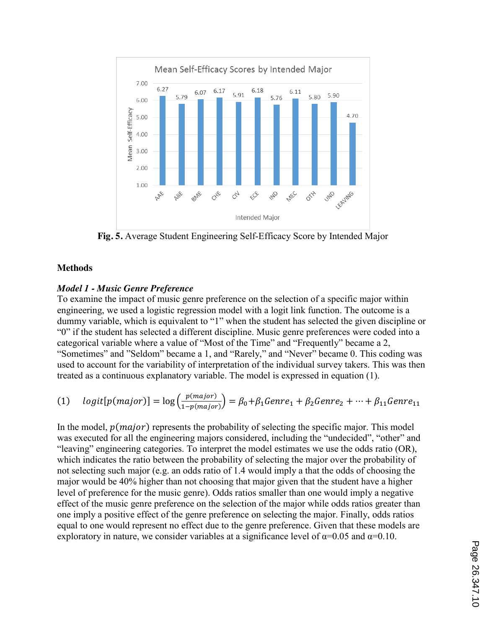

**Fig. 5.** Average Student Engineering Self-Efficacy Score by Intended Major

### **Methods**

### *Model 1 - Music Genre Preference*

To examine the impact of music genre preference on the selection of a specific major within engineering, we used a logistic regression model with a logit link function. The outcome is a dummy variable, which is equivalent to "1" when the student has selected the given discipline or "0" if the student has selected a different discipline. Music genre preferences were coded into a categorical variable where a value of "Most of the Time" and "Frequently" became a 2, "Sometimes" and "Seldom" became a 1, and "Rarely," and "Never" became 0. This coding was used to account for the variability of interpretation of the individual survey takers. This was then treated as a continuous explanatory variable. The model is expressed in equation (1).

(1) 
$$
logit[p(major)] = log\left(\frac{p(major)}{1-p(major)}\right) = \beta_0 + \beta_1 Genre_1 + \beta_2 Genre_2 + \dots + \beta_{11} Genre_{11}
$$

In the model,  $p(major)$  represents the probability of selecting the specific major. This model was executed for all the engineering majors considered, including the "undecided", "other" and "leaving" engineering categories. To interpret the model estimates we use the odds ratio (OR), which indicates the ratio between the probability of selecting the major over the probability of not selecting such major (e.g. an odds ratio of 1.4 would imply a that the odds of choosing the major would be 40% higher than not choosing that major given that the student have a higher level of preference for the music genre). Odds ratios smaller than one would imply a negative effect of the music genre preference on the selection of the major while odds ratios greater than one imply a positive effect of the genre preference on selecting the major. Finally, odds ratios equal to one would represent no effect due to the genre preference. Given that these models are exploratory in nature, we consider variables at a significance level of  $\alpha$ =0.05 and  $\alpha$ =0.10.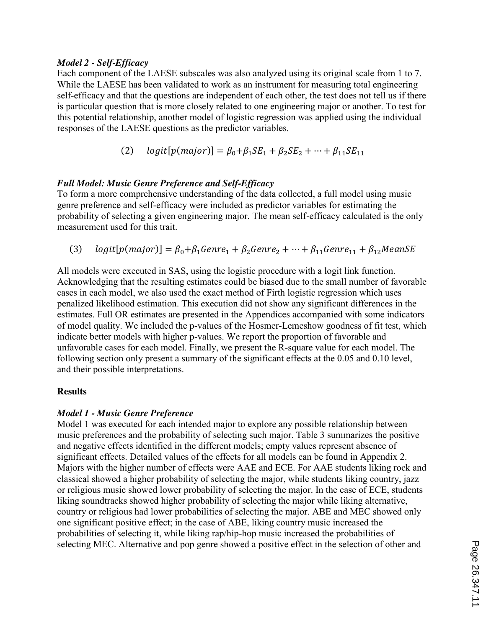#### *Model 2 - Self-Efficacy*

Each component of the LAESE subscales was also analyzed using its original scale from 1 to 7. While the LAESE has been validated to work as an instrument for measuring total engineering self-efficacy and that the questions are independent of each other, the test does not tell us if there is particular question that is more closely related to one engineering major or another. To test for this potential relationship, another model of logistic regression was applied using the individual responses of the LAESE questions as the predictor variables.

(2) 
$$
logit[p(major)] = \beta_0 + \beta_1 SE_1 + \beta_2 SE_2 + \dots + \beta_{11} SE_{11}
$$

# *Full Model: Music Genre Preference and Self-Efficacy*

To form a more comprehensive understanding of the data collected, a full model using music genre preference and self-efficacy were included as predictor variables for estimating the probability of selecting a given engineering major. The mean self-efficacy calculated is the only measurement used for this trait.

(3)  $logit[p(major)] = \beta_0 + \beta_1 Genre_1 + \beta_2 Genre_2 + \cdots + \beta_{11} Genre_{11} + \beta_{12} MeanSE$ 

All models were executed in SAS, using the logistic procedure with a logit link function. Acknowledging that the resulting estimates could be biased due to the small number of favorable cases in each model, we also used the exact method of Firth logistic regression which uses penalized likelihood estimation. This execution did not show any significant differences in the estimates. Full OR estimates are presented in the Appendices accompanied with some indicators of model quality. We included the p-values of the Hosmer-Lemeshow goodness of fit test, which indicate better models with higher p-values. We report the proportion of favorable and unfavorable cases for each model. Finally, we present the R-square value for each model. The following section only present a summary of the significant effects at the 0.05 and 0.10 level, and their possible interpretations.

# **Results**

# *Model 1 - Music Genre Preference*

Model 1 was executed for each intended major to explore any possible relationship between music preferences and the probability of selecting such major. Table 3 summarizes the positive and negative effects identified in the different models; empty values represent absence of significant effects. Detailed values of the effects for all models can be found in Appendix 2. Majors with the higher number of effects were AAE and ECE. For AAE students liking rock and classical showed a higher probability of selecting the major, while students liking country, jazz or religious music showed lower probability of selecting the major. In the case of ECE, students liking soundtracks showed higher probability of selecting the major while liking alternative, country or religious had lower probabilities of selecting the major. ABE and MEC showed only one significant positive effect; in the case of ABE, liking country music increased the probabilities of selecting it, while liking rap/hip-hop music increased the probabilities of selecting MEC. Alternative and pop genre showed a positive effect in the selection of other and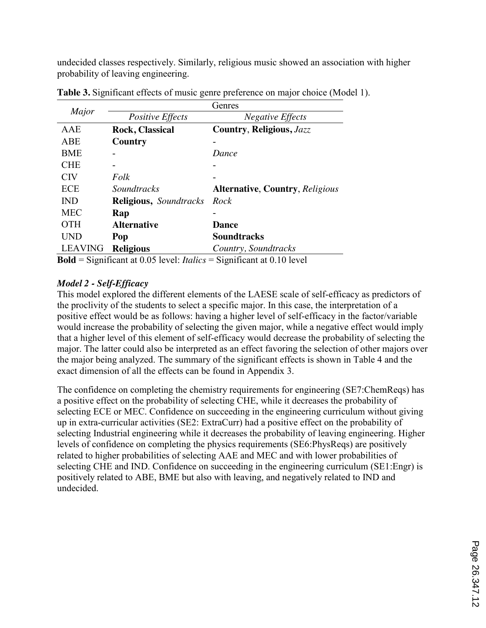undecided classes respectively. Similarly, religious music showed an association with higher probability of leaving engineering.

|                |                                                                                                                | Genres                                 |  |  |  |  |  |
|----------------|----------------------------------------------------------------------------------------------------------------|----------------------------------------|--|--|--|--|--|
| Major          | Positive Effects                                                                                               | <b>Negative Effects</b>                |  |  |  |  |  |
| AAE            | <b>Rock, Classical</b>                                                                                         | Country, Religious, Jazz               |  |  |  |  |  |
| <b>ABE</b>     | Country                                                                                                        |                                        |  |  |  |  |  |
| <b>BME</b>     |                                                                                                                | Dance                                  |  |  |  |  |  |
| <b>CHE</b>     |                                                                                                                |                                        |  |  |  |  |  |
| <b>CIV</b>     | Folk                                                                                                           |                                        |  |  |  |  |  |
| ECE            | <i>Soundtracks</i>                                                                                             | <b>Alternative, Country, Religious</b> |  |  |  |  |  |
| <b>IND</b>     | <b>Religious, Soundtracks</b>                                                                                  | Rock                                   |  |  |  |  |  |
| <b>MEC</b>     | Rap                                                                                                            |                                        |  |  |  |  |  |
| <b>OTH</b>     | <b>Alternative</b>                                                                                             | <b>Dance</b>                           |  |  |  |  |  |
| UND            | Pop                                                                                                            | Soundtracks                            |  |  |  |  |  |
| <b>LEAVING</b> | <b>Religious</b>                                                                                               | Country, Soundtracks                   |  |  |  |  |  |
|                | $\text{Rad} = \text{Simplifyant at } 0.05 \text{ level}$ $Italics = \text{Simplifyant at } 0.10 \text{ level}$ |                                        |  |  |  |  |  |

**Table 3.** Significant effects of music genre preference on major choice (Model 1).

**Significant at 0.05 level:** *Italics* = Significant at 0.10 level

# *Model 2 - Self-Efficacy*

This model explored the different elements of the LAESE scale of self-efficacy as predictors of the proclivity of the students to select a specific major. In this case, the interpretation of a positive effect would be as follows: having a higher level of self-efficacy in the factor/variable would increase the probability of selecting the given major, while a negative effect would imply that a higher level of this element of self-efficacy would decrease the probability of selecting the major. The latter could also be interpreted as an effect favoring the selection of other majors over the major being analyzed. The summary of the significant effects is shown in Table 4 and the exact dimension of all the effects can be found in Appendix 3.

The confidence on completing the chemistry requirements for engineering (SE7:ChemReqs) has a positive effect on the probability of selecting CHE, while it decreases the probability of selecting ECE or MEC. Confidence on succeeding in the engineering curriculum without giving up in extra-curricular activities (SE2: ExtraCurr) had a positive effect on the probability of selecting Industrial engineering while it decreases the probability of leaving engineering. Higher levels of confidence on completing the physics requirements (SE6:PhysReqs) are positively related to higher probabilities of selecting AAE and MEC and with lower probabilities of selecting CHE and IND. Confidence on succeeding in the engineering curriculum (SE1:Engr) is positively related to ABE, BME but also with leaving, and negatively related to IND and undecided.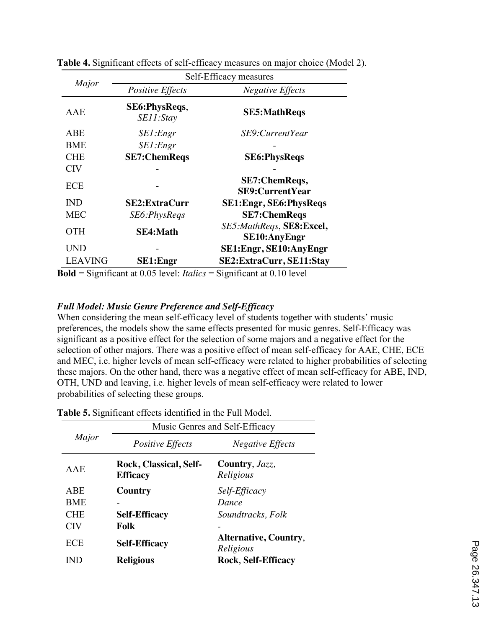|                | Self-Efficacy measures      |                                                 |  |  |  |  |  |  |  |
|----------------|-----------------------------|-------------------------------------------------|--|--|--|--|--|--|--|
| Major          | <b>Positive Effects</b>     | <b>Negative Effects</b>                         |  |  |  |  |  |  |  |
| AAE            | SE6: PhysReqs,<br>SE11:Stay | <b>SE5:MathRegs</b>                             |  |  |  |  |  |  |  |
| ABE            | SE1:Engr                    | SE9:CurrentYear                                 |  |  |  |  |  |  |  |
| <b>BME</b>     | SE1:Engr                    |                                                 |  |  |  |  |  |  |  |
| <b>CHE</b>     | <b>SE7:ChemReqs</b>         | <b>SE6:PhysReqs</b>                             |  |  |  |  |  |  |  |
| <b>CIV</b>     |                             |                                                 |  |  |  |  |  |  |  |
| <b>ECE</b>     |                             | SE7:ChemReqs,<br><b>SE9:CurrentYear</b>         |  |  |  |  |  |  |  |
| <b>IND</b>     | <b>SE2:ExtraCurr</b>        | <b>SE1: Engr, SE6: PhysReqs</b>                 |  |  |  |  |  |  |  |
| <b>MEC</b>     | SE6:PhysReqs                | <b>SE7:ChemReqs</b>                             |  |  |  |  |  |  |  |
| <b>OTH</b>     | <b>SE4:Math</b>             | SE5:MathReqs, SE8:Excel,<br><b>SE10:AnyEngr</b> |  |  |  |  |  |  |  |
| <b>UND</b>     |                             | SE1: Engr, SE10: Any Engr                       |  |  |  |  |  |  |  |
| <b>LEAVING</b> | <b>SE1:Engr</b>             | SE2: ExtraCurr, SE11: Stay                      |  |  |  |  |  |  |  |

**Table 4.** Significant effects of self-efficacy measures on major choice (Model 2).

**Bold** = Significant at 0.05 level: *Italics* = Significant at 0.10 level

### *Full Model: Music Genre Preference and Self-Efficacy*

When considering the mean self-efficacy level of students together with students' music preferences, the models show the same effects presented for music genres. Self-Efficacy was significant as a positive effect for the selection of some majors and a negative effect for the selection of other majors. There was a positive effect of mean self-efficacy for AAE, CHE, ECE and MEC, i.e. higher levels of mean self-efficacy were related to higher probabilities of selecting these majors. On the other hand, there was a negative effect of mean self-efficacy for ABE, IND, OTH, UND and leaving, i.e. higher levels of mean self-efficacy were related to lower probabilities of selecting these groups.

|            | Music Genres and Self-Efficacy            |                                           |  |  |  |  |  |  |  |  |
|------------|-------------------------------------------|-------------------------------------------|--|--|--|--|--|--|--|--|
| Major      | <b>Positive Effects</b>                   | <b>Negative Effects</b>                   |  |  |  |  |  |  |  |  |
| AAE        | Rock, Classical, Self-<br><b>Efficacy</b> | Country, Jazz,<br>Religious               |  |  |  |  |  |  |  |  |
| <b>ABE</b> | Country                                   | Self-Efficacy                             |  |  |  |  |  |  |  |  |
| <b>BME</b> |                                           | Dance                                     |  |  |  |  |  |  |  |  |
| <b>CHE</b> | <b>Self-Efficacy</b>                      | Soundtracks, Folk                         |  |  |  |  |  |  |  |  |
| <b>CIV</b> | Folk                                      |                                           |  |  |  |  |  |  |  |  |
| <b>ECE</b> | <b>Self-Efficacy</b>                      | <b>Alternative, Country,</b><br>Religious |  |  |  |  |  |  |  |  |
| IND        | <b>Religious</b>                          | <b>Rock, Self-Efficacy</b>                |  |  |  |  |  |  |  |  |

**Table 5.** Significant effects identified in the Full Model.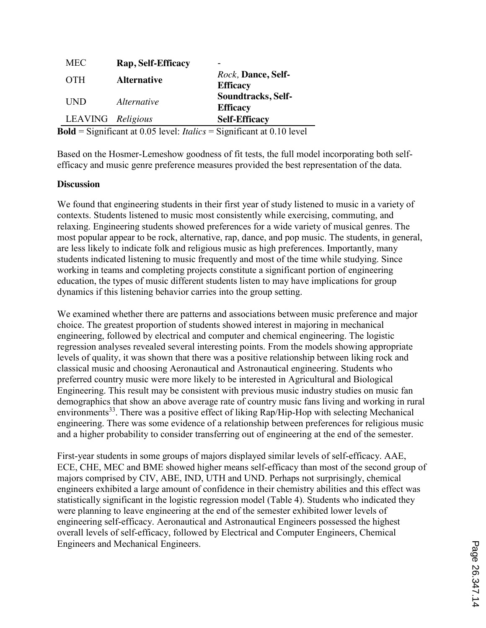| <b>MEC</b>        | Rap, Self-Efficacy |                                               |
|-------------------|--------------------|-----------------------------------------------|
| <b>OTH</b>        | <b>Alternative</b> | <i>Rock</i> , Dance, Self-<br><b>Efficacy</b> |
| <b>IND</b>        | <i>Alternative</i> | Soundtracks, Self-<br><b>Efficacy</b>         |
| LEAVING Religious |                    | <b>Self-Efficacy</b>                          |

**Bold** = Significant at 0.05 level: *Italics* = Significant at 0.10 level

Based on the Hosmer-Lemeshow goodness of fit tests, the full model incorporating both selfefficacy and music genre preference measures provided the best representation of the data.

#### **Discussion**

We found that engineering students in their first year of study listened to music in a variety of contexts. Students listened to music most consistently while exercising, commuting, and relaxing. Engineering students showed preferences for a wide variety of musical genres. The most popular appear to be rock, alternative, rap, dance, and pop music. The students, in general, are less likely to indicate folk and religious music as high preferences. Importantly, many students indicated listening to music frequently and most of the time while studying. Since working in teams and completing projects constitute a significant portion of engineering education, the types of music different students listen to may have implications for group dynamics if this listening behavior carries into the group setting.

We examined whether there are patterns and associations between music preference and major choice. The greatest proportion of students showed interest in majoring in mechanical engineering, followed by electrical and computer and chemical engineering. The logistic regression analyses revealed several interesting points. From the models showing appropriate levels of quality, it was shown that there was a positive relationship between liking rock and classical music and choosing Aeronautical and Astronautical engineering. Students who preferred country music were more likely to be interested in Agricultural and Biological Engineering. This result may be consistent with previous music industry studies on music fan demographics that show an above average rate of country music fans living and working in rural environments<sup>33</sup>. There was a positive effect of liking Rap/Hip-Hop with selecting Mechanical engineering. There was some evidence of a relationship between preferences for religious music and a higher probability to consider transferring out of engineering at the end of the semester.

First-year students in some groups of majors displayed similar levels of self-efficacy. AAE, ECE, CHE, MEC and BME showed higher means self-efficacy than most of the second group of majors comprised by CIV, ABE, IND, UTH and UND. Perhaps not surprisingly, chemical engineers exhibited a large amount of confidence in their chemistry abilities and this effect was statistically significant in the logistic regression model (Table 4). Students who indicated they were planning to leave engineering at the end of the semester exhibited lower levels of engineering self-efficacy. Aeronautical and Astronautical Engineers possessed the highest overall levels of self-efficacy, followed by Electrical and Computer Engineers, Chemical Engineers and Mechanical Engineers.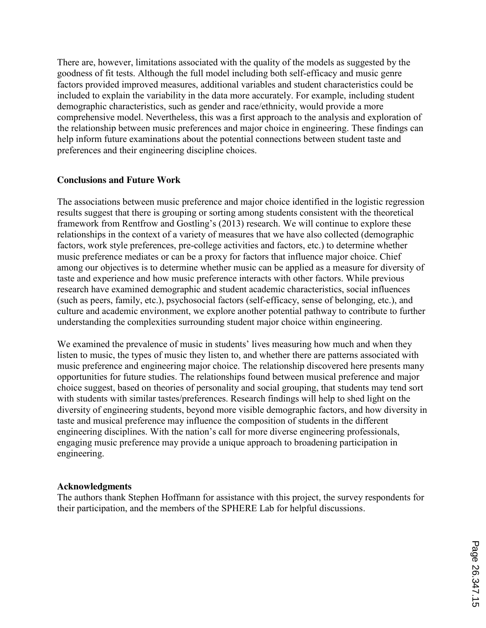There are, however, limitations associated with the quality of the models as suggested by the goodness of fit tests. Although the full model including both self-efficacy and music genre factors provided improved measures, additional variables and student characteristics could be included to explain the variability in the data more accurately. For example, including student demographic characteristics, such as gender and race/ethnicity, would provide a more comprehensive model. Nevertheless, this was a first approach to the analysis and exploration of the relationship between music preferences and major choice in engineering. These findings can help inform future examinations about the potential connections between student taste and preferences and their engineering discipline choices.

### **Conclusions and Future Work**

The associations between music preference and major choice identified in the logistic regression results suggest that there is grouping or sorting among students consistent with the theoretical framework from Rentfrow and Gostling's (2013) research. We will continue to explore these relationships in the context of a variety of measures that we have also collected (demographic factors, work style preferences, pre-college activities and factors, etc.) to determine whether music preference mediates or can be a proxy for factors that influence major choice. Chief among our objectives is to determine whether music can be applied as a measure for diversity of taste and experience and how music preference interacts with other factors. While previous research have examined demographic and student academic characteristics, social influences (such as peers, family, etc.), psychosocial factors (self-efficacy, sense of belonging, etc.), and culture and academic environment, we explore another potential pathway to contribute to further understanding the complexities surrounding student major choice within engineering.

We examined the prevalence of music in students' lives measuring how much and when they listen to music, the types of music they listen to, and whether there are patterns associated with music preference and engineering major choice. The relationship discovered here presents many opportunities for future studies. The relationships found between musical preference and major choice suggest, based on theories of personality and social grouping, that students may tend sort with students with similar tastes/preferences. Research findings will help to shed light on the diversity of engineering students, beyond more visible demographic factors, and how diversity in taste and musical preference may influence the composition of students in the different engineering disciplines. With the nation's call for more diverse engineering professionals, engaging music preference may provide a unique approach to broadening participation in engineering.

#### **Acknowledgments**

The authors thank Stephen Hoffmann for assistance with this project, the survey respondents for their participation, and the members of the SPHERE Lab for helpful discussions.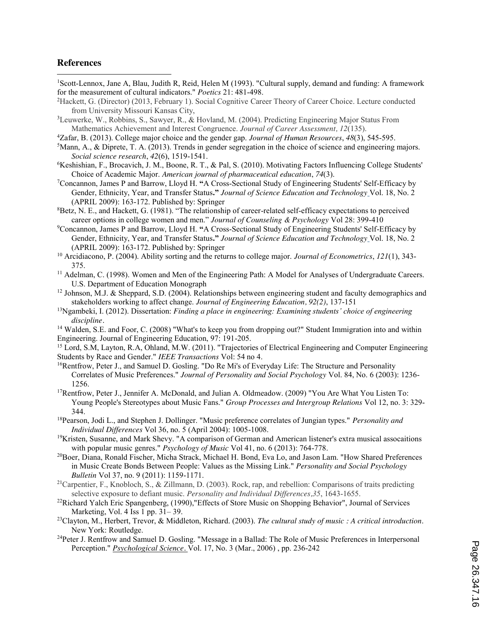#### **References**

 $\overline{\phantom{a}}$ 

<sup>1</sup>Scott-Lennox, Jane A, Blau, Judith R, Reid, Helen M (1993). "Cultural supply, demand and funding: A framework for the measurement of cultural indicators." *Poetics* 21: 481-498.

2 Hackett, G. (Director) (2013, February 1). Social Cognitive Career Theory of Career Choice. Lecture conducted from University Missouri Kansas City,

3 Leuwerke, W., Robbins, S., Sawyer, R., & Hovland, M. (2004). Predicting Engineering Major Status From Mathematics Achievement and Interest Congruence. *Journal of Career Assessment, 12*(135).

- 4 Zafar, B. (2013). College major choice and the gender gap. *Journal of Human Resources*, *48*(3), 545-595.
- 5 Mann, A., & Diprete, T. A. (2013). Trends in gender segregation in the choice of science and engineering majors. *Social science research*, *42*(6), 1519-1541.
- 6 Keshishian, F., Brocavich, J. M., Boone, R. T., & Pal, S. (2010). Motivating Factors Influencing College Students' Choice of Academic Major. *American journal of pharmaceutical education*, *74*(3).
- 7 Concannon, James P and Barrow, Lloyd H. **"**A Cross-Sectional Study of Engineering Students' Self-Efficacy by Gender, Ethnicity, Year, and Transfer Status**."** *Journal of Science Education and Technology* Vol. 18, No. 2  $(APRIL 2009)$ : 163-172. Published by: Springer
- <sup>8</sup>Betz, N. E., and Hackett, G. (1981). "The relationship of career-related self-efficacy expectations to perceived career options in college women and men." *Journal of Counseling & Psychology* Vol 28: 399-410
- 9 Concannon, James P and Barrow, Lloyd H. **"**A Cross-Sectional Study of Engineering Students' Self-Efficacy by Gender, Ethnicity, Year, and Transfer Status**."** *Journal of Science Education and Technology* Vol. 18, No. 2 (APRIL 2009): 163-172. Published by: Springer<br><sup>10</sup> Arcidiacono, P. (2004). Ability sorting and the returns to college major. *Journal of Econometrics*, *121*(1), 343-
- 375.
- $<sup>11</sup>$  Adelman, C. (1998). Women and Men of the Engineering Path: A Model for Analyses of Undergraduate Careers.</sup> U.S. Department of Education Monograph
- <sup>12</sup> Johnson, M.J. & Sheppard, S.D. (2004). Relationships between engineering student and faculty demographics and stakeholders working to affect change. *Journal of Engineering Education, 92(2)*, 137-151
- 13Ngambeki, I. (2012). Dissertation: *Finding a place in engineering: Examining students' choice of engineering discipline.*

<sup>14</sup> Walden, S.E. and Foor, C. (2008) "What's to keep you from dropping out?" Student Immigration into and within Engineering. Journal of Engineering Education, 97: 191-205.

<sup>15</sup> Lord, S.M, Layton, R.A, Ohland, M.W. (2011). "Trajectories of Electrical Engineering and Computer Engineering Students by Race and Gender." *IEEE Transactions* Vol: 54 no 4.

- <sup>16</sup>Rentfrow, Peter J., and Samuel D. Gosling. "Do Re Mi's of Everyday Life: The Structure and Personality Correlates of Music Preferences." *Journal of Personality and Social Psychology* Vol. 84, No. 6 (2003): 1236- 1256.
- 17Rentfrow, Peter J., Jennifer A. McDonald, and Julian A. Oldmeadow. (2009) "You Are What You Listen To: Young People's Stereotypes about Music Fans." *Group Processes and Intergroup Relations* Vol 12, no. 3: 329- 344.
- 18Pearson, Jodi L., and Stephen J. Dollinger. "Music preference correlates of Jungian types." *Personality and Individual Differences* Vol 36, no. 5 (April 2004): 1005-1008.
- 19Kristen, Susanne, and Mark Shevy. "A comparison of German and American listener's extra musical assocaitions with popular music genres." *Psychology of Music* Vol 41, no. 6 (2013): 764-778.
- 20Boer, Diana, Ronald Fischer, Micha Strack, Michael H. Bond, Eva Lo, and Jason Lam. "How Shared Preferences in Music Create Bonds Between People: Values as the Missing Link." *Personality and Social Psychology Bulletin* Vol 37, no. 9 (2011): 1159-1171.
- 21Carpentier, F., Knobloch, S., & Zillmann, D. (2003). Rock, rap, and rebellion: Comparisons of traits predicting selective exposure to defiant music. *Personality and Individual Differences,35*, 1643-1655.
- <sup>22</sup>Richard Yalch Eric Spangenberg, (1990),"Effects of Store Music on Shopping Behavior", Journal of Services Marketing, Vol. 4 Iss 1 pp. 31– 39. 23Clayton, M., Herbert, Trevor, & Middleton, Richard. (2003). *The cultural study of music : <sup>A</sup> critical introduction*.
- New York: Routledge.
- 24Peter J. Rentfrow and Samuel D. Gosling. "Message in a Ballad: The Role of Music Preferences in Interpersonal Perception." *Psychological Science.* Vol. 17, No. 3 (Mar., 2006) , pp. 236-242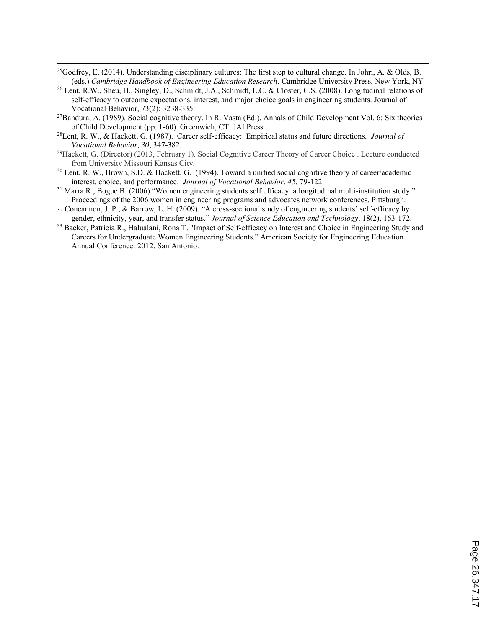<sup>25</sup>Godfrey, E. (2014). Understanding disciplinary cultures: The first step to cultural change. In Johri, A. & Olds, B. (eds.) *Cambridge Handbook of Engineering Education Research*. Cambridge University Press, New York, NY

 $\overline{\phantom{a}}$ 

- <sup>26</sup> Lent, R.W., Sheu, H., Singley, D., Schmidt, J.A., Schmidt, L.C. & Closter, C.S. (2008). Longitudinal relations of self-efficacy to outcome expectations, interest, and major choice goals in engineering students. Journal of Vocational Behavior, 73(2): 3238-335.
- <sup>27</sup>Bandura, A. (1989). Social cognitive theory. In R. Vasta (Ed.), Annals of Child Development Vol. 6: Six theories of Child Development (pp. 1-60). Greenwich, CT: JAI Press.
- 28Lent, R. W., & Hackett, G. (1987). Career self-efficacy: Empirical status and future directions. *Journal of Vocational Behavior, 30*, 347-382.
- 29Hackett, G. (Director) (2013, February 1). Social Cognitive Career Theory of Career Choice . Lecture conducted from University Missouri Kansas City.
- <sup>30</sup> Lent, R. W., Brown, S.D. & Hackett, G. (1994). Toward a unified social cognitive theory of career/academic interest, choice, and performance. *Journal of Vocational Behavior*, *45*, 79-122.
- $31$  Marra R., Bogue B. (2006) "Women engineering students self efficacy: a longitudinal multi-institution study." Proceedings of the 2006 women in engineering programs and advocates network conferences, Pittsburgh.
- <sup>32</sup> Concannon, J. P., & Barrow, L. H. (2009). "A cross-sectional study of engineering students' self-efficacy by gender, ethnicity, year, and transfer status." *Journal of Science Education and Technology*, 18(2), 163-172.
- <sup>33</sup> Backer, Patricia R., Halualani, Rona T. "Impact of Self-efficacy on Interest and Choice in Engineering Study and Careers for Undergraduate Women Engineering Students." American Society for Engineering Education Annual Conference: 2012. San Antonio.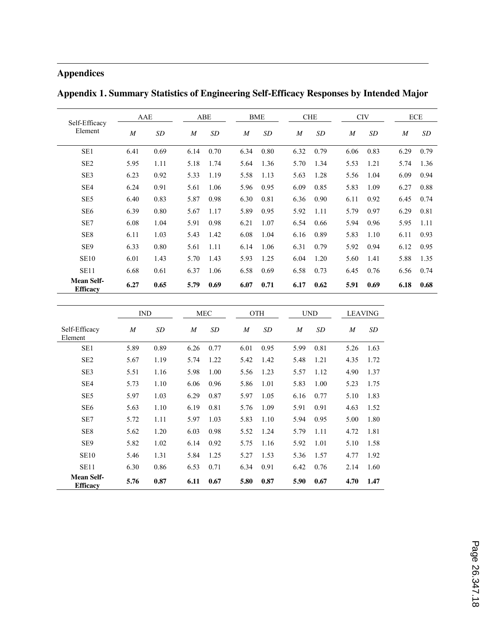# **Appendices**

 $\overline{\phantom{a}}$ 

| Self-Efficacy<br>Element             |      | AAE       |                  | ABE       |                  | <b>BME</b> |      | <b>CHE</b>     | <b>CIV</b> |           |                  | <b>ECE</b> |  |
|--------------------------------------|------|-----------|------------------|-----------|------------------|------------|------|----------------|------------|-----------|------------------|------------|--|
|                                      | M    | <b>SD</b> | $\boldsymbol{M}$ | <b>SD</b> | $\boldsymbol{M}$ | <b>SD</b>  | M    | SD <sub></sub> | M          | <b>SD</b> | $\boldsymbol{M}$ | SD         |  |
| SE <sub>1</sub>                      | 6.41 | 0.69      | 6.14             | 0.70      | 6.34             | 0.80       | 6.32 | 0.79           | 6.06       | 0.83      | 6.29             | 0.79       |  |
| SE <sub>2</sub>                      | 5.95 | 1.11      | 5.18             | 1.74      | 5.64             | 1.36       | 5.70 | 1.34           | 5.53       | 1.21      | 5.74             | 1.36       |  |
| SE <sub>3</sub>                      | 6.23 | 0.92      | 5.33             | 1.19      | 5.58             | 1.13       | 5.63 | 1.28           | 5.56       | 1.04      | 6.09             | 0.94       |  |
| SE <sub>4</sub>                      | 6.24 | 0.91      | 5.61             | 1.06      | 5.96             | 0.95       | 6.09 | 0.85           | 5.83       | 1.09      | 6.27             | 0.88       |  |
| SE <sub>5</sub>                      | 6.40 | 0.83      | 5.87             | 0.98      | 6.30             | 0.81       | 6.36 | 0.90           | 6.11       | 0.92      | 6.45             | 0.74       |  |
| SE <sub>6</sub>                      | 6.39 | 0.80      | 5.67             | 1.17      | 5.89             | 0.95       | 5.92 | 1.11           | 5.79       | 0.97      | 6.29             | 0.81       |  |
| SE7                                  | 6.08 | 1.04      | 5.91             | 0.98      | 6.21             | 1.07       | 6.54 | 0.66           | 5.94       | 0.96      | 5.95             | 1.11       |  |
| SE <sub>8</sub>                      | 6.11 | 1.03      | 5.43             | 1.42      | 6.08             | 1.04       | 6.16 | 0.89           | 5.83       | 1.10      | 6.11             | 0.93       |  |
| SE <sub>9</sub>                      | 6.33 | 0.80      | 5.61             | 1.11      | 6.14             | 1.06       | 6.31 | 0.79           | 5.92       | 0.94      | 6.12             | 0.95       |  |
| <b>SE10</b>                          | 6.01 | 1.43      | 5.70             | 1.43      | 5.93             | 1.25       | 6.04 | 1.20           | 5.60       | 1.41      | 5.88             | 1.35       |  |
| <b>SE11</b>                          | 6.68 | 0.61      | 6.37             | 1.06      | 6.58             | 0.69       | 6.58 | 0.73           | 6.45       | 0.76      | 6.56             | 0.74       |  |
| <b>Mean Self-</b><br><b>Efficacy</b> | 6.27 | 0.65      | 5.79             | 0.69      | 6.07             | 0.71       | 6.17 | 0.62           | 5.91       | 0.69      | 6.18             | 0.68       |  |

**Appendix 1. Summary Statistics of Engineering Self-Efficacy Responses by Intended Major**

|                                      | IND  |      |      | <b>MEC</b> |  | <b>OTH</b> |      |  | <b>UND</b> |      |      | <b>LEAVING</b> |
|--------------------------------------|------|------|------|------------|--|------------|------|--|------------|------|------|----------------|
| Self-Efficacy<br>Element             | M    | SD   | M    | SD         |  | M          | SD   |  | M          | SD   | M    | SD             |
| SE <sub>1</sub>                      | 5.89 | 0.89 | 6.26 | 0.77       |  | 6.01       | 0.95 |  | 5.99       | 0.81 | 5.26 | 1.63           |
| SE <sub>2</sub>                      | 5.67 | 1.19 | 5.74 | 1.22       |  | 5.42       | 1.42 |  | 5.48       | 1.21 | 4.35 | 1.72           |
| SE <sub>3</sub>                      | 5.51 | 1.16 | 5.98 | 1.00       |  | 5.56       | 1.23 |  | 5.57       | 1.12 | 4.90 | 1.37           |
| SE <sub>4</sub>                      | 5.73 | 1.10 | 6.06 | 0.96       |  | 5.86       | 1.01 |  | 5.83       | 1.00 | 5.23 | 1.75           |
| SE <sub>5</sub>                      | 5.97 | 1.03 | 6.29 | 0.87       |  | 5.97       | 1.05 |  | 6.16       | 0.77 | 5.10 | 1.83           |
| SE <sub>6</sub>                      | 5.63 | 1.10 | 6.19 | 0.81       |  | 5.76       | 1.09 |  | 5.91       | 0.91 | 4.63 | 1.52           |
| SE7                                  | 5.72 | 1.11 | 5.97 | 1.03       |  | 5.83       | 1.10 |  | 5.94       | 0.95 | 5.00 | 1.80           |
| SE8                                  | 5.62 | 1.20 | 6.03 | 0.98       |  | 5.52       | 1.24 |  | 5.79       | 1.11 | 4.72 | 1.81           |
| SE <sub>9</sub>                      | 5.82 | 1.02 | 6.14 | 0.92       |  | 5.75       | 1.16 |  | 5.92       | 1.01 | 5.10 | 1.58           |
| <b>SE10</b>                          | 5.46 | 1.31 | 5.84 | 1.25       |  | 5.27       | 1.53 |  | 5.36       | 1.57 | 4.77 | 1.92           |
| <b>SE11</b>                          | 6.30 | 0.86 | 6.53 | 0.71       |  | 6.34       | 0.91 |  | 6.42       | 0.76 | 2.14 | 1.60           |
| <b>Mean Self-</b><br><b>Efficacy</b> | 5.76 | 0.87 | 6.11 | 0.67       |  | 5.80       | 0.87 |  | 5.90       | 0.67 | 4.70 | 1.47           |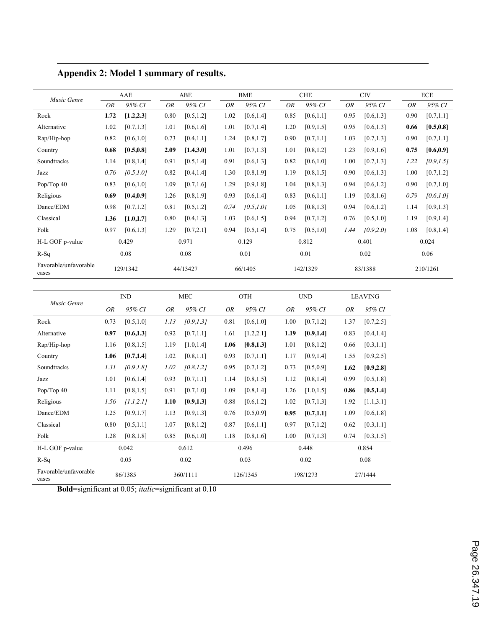| Music Genre                    |      | AAE        |           | ABE        |           | <b>BME</b> |           | <b>CHE</b> |           | <b>CIV</b> |           | ECE        |  |
|--------------------------------|------|------------|-----------|------------|-----------|------------|-----------|------------|-----------|------------|-----------|------------|--|
|                                | 0R   | 95% CI     | <b>OR</b> | 95% CI     | <b>OR</b> | 95% CI     | <b>OR</b> | 95% CI     | <b>OR</b> | 95% CI     | <b>OR</b> | 95% CI     |  |
| Rock                           | 1.72 | [1.2, 2.3] | 0.80      | [0.5, 1.2] | 1.02      | [0.6, 1.4] | 0.85      | [0.6, 1.1] | 0.95      | [0.6, 1.3] | 0.90      | [0.7, 1.1] |  |
| Alternative                    | 1.02 | [0.7, 1.3] | 1.01      | [0.6, 1.6] | 1.01      | [0.7, 1.4] | 1.20      | [0.9, 1.5] | 0.95      | [0.6, 1.3] | 0.66      | [0.5, 0.8] |  |
| Rap/Hip-hop                    | 0.82 | [0.6, 1.0] | 0.73      | [0.4, 1.1] | 1.24      | [0.8, 1.7] | 0.90      | [0.7, 1.1] | 1.03      | [0.7, 1.3] | 0.90      | [0.7, 1.1] |  |
| Country                        | 0.68 | [0.5, 0.8] | 2.09      | [1.4, 3.0] | 1.01      | [0.7, 1.3] | 1.01      | [0.8, 1.2] | 1.23      | [0.9, 1.6] | 0.75      | [0.6, 0.9] |  |
| Soundtracks                    | 1.14 | [0.8, 1.4] | 0.91      | [0.5, 1.4] | 0.91      | [0.6, 1.3] | 0.82      | [0.6, 1.0] | 1.00      | [0.7, 1.3] | 1.22      | [0.9, 1.5] |  |
| Jazz                           | 0.76 | [0.5, 1.0] | 0.82      | [0.4, 1.4] | 1.30      | [0.8, 1.9] | 1.19      | [0.8, 1.5] | 0.90      | [0.6, 1.3] | 1.00      | [0.7, 1.2] |  |
| Pop/Top 40                     | 0.83 | [0.6, 1.0] | 1.09      | [0.7, 1.6] | 1.29      | [0.9, 1.8] | 1.04      | [0.8, 1.3] | 0.94      | [0.6, 1.2] | 0.90      | [0.7, 1.0] |  |
| Religious                      | 0.69 | [0.4, 0.9] | 1.26      | [0.8, 1.9] | 0.93      | [0.6, 1.4] | 0.83      | [0.6, 1.1] | 1.19      | [0.8, 1.6] | 0.79      | [0.6, 1.0] |  |
| Dance/EDM                      | 0.98 | [0.7, 1.2] | 0.81      | [0.5, 1.2] | 0.74      | [0.5, 1.0] | 1.05      | [0.8, 1.3] | 0.94      | [0.6, 1.2] | 1.14      | [0.9, 1.3] |  |
| Classical                      | 1.36 | [1.0, 1.7] | 0.80      | [0.4, 1.3] | 1.03      | [0.6, 1.5] | 0.94      | [0.7, 1.2] | 0.76      | [0.5, 1.0] | 1.19      | [0.9, 1.4] |  |
| Folk                           | 0.97 | [0.6, 1.3] | 1.29      | [0.7, 2.1] | 0.94      | [0.5, 1.4] | 0.75      | [0.5, 1.0] | 1.44      | [0.9, 2.0] | 1.08      | [0.8, 1.4] |  |
| H-L GOF p-value                |      | 0.429      |           | 0.971      |           | 0.129      |           | 0.812      |           | 0.401      |           | 0.024      |  |
| $R-Sq$                         |      | 0.08       |           | 0.08       |           | 0.01       |           | 0.01       |           | 0.02       |           | 0.06       |  |
| Favorable/unfavorable<br>cases |      | 129/1342   |           | 44/13427   |           | 66/1405    |           | 142/1329   |           | 83/1388    |           | 210/1261   |  |

# **Appendix 2: Model 1 summary of results.**

 $\overline{\phantom{a}}$ 

| Music Genre                    |           | IND        |           | <b>MEC</b> |      | OTH        |           | <b>UND</b> |           | <b>LEAVING</b> |
|--------------------------------|-----------|------------|-----------|------------|------|------------|-----------|------------|-----------|----------------|
|                                | <b>OR</b> | 95% CI     | <b>OR</b> | 95% CI     | OR   | 95% CI     | <b>OR</b> | 95% CI     | <b>OR</b> | 95% CI         |
| Rock                           | 0.73      | [0.5, 1.0] | 1.13      | [0.9, 1.3] | 0.81 | [0.6, 1.0] | 1.00      | [0.7, 1.2] | 1.37      | [0.7, 2.5]     |
| Alternative                    | 0.97      | [0.6, 1.3] | 0.92      | [0.7, 1.1] | 1.61 | [1.2, 2.1] | 1.19      | [0.9, 1.4] | 0.83      | [0.4, 1.4]     |
| Rap/Hip-hop                    | 1.16      | [0.8, 1.5] | 1.19      | [1.0, 1.4] | 1.06 | [0.8, 1.3] | 1.01      | [0.8, 1.2] | 0.66      | [0.3, 1.1]     |
| Country                        | 1.06      | [0.7, 1.4] | 1.02      | [0.8, 1.1] | 0.93 | [0.7, 1.1] | 1.17      | [0.9, 1.4] | 1.55      | [0.9, 2.5]     |
| Soundtracks                    | 1.31      | [0.9, 1.8] | 1.02      | [0.8, 1.2] | 0.95 | [0.7, 1.2] | 0.73      | [0.5, 0.9] | 1.62      | [0.9, 2.8]     |
| Jazz                           | 1.01      | [0.6, 1.4] | 0.93      | [0.7, 1.1] | 1.14 | [0.8, 1.5] | 1.12      | [0.8, 1.4] | 0.99      | [0.5, 1.8]     |
| Pop/Top 40                     | 1.11      | [0.8, 1.5] | 0.91      | [0.7, 1.0] | 1.09 | [0.8, 1.4] | 1.26      | [1.0, 1.5] | 0.86      | [0.5, 1.4]     |
| Religious                      | 1.56      | [1.1, 2.1] | 1.10      | [0.9, 1.3] | 0.88 | [0.6, 1.2] | 1.02      | [0.7, 1.3] | 1.92      | [1.1, 3.1]     |
| Dance/EDM                      | 1.25      | [0.9, 1.7] | 1.13      | [0.9, 1.3] | 0.76 | [0.5, 0.9] | 0.95      | [0.7, 1.1] | 1.09      | [0.6, 1.8]     |
| Classical                      | 0.80      | [0.5, 1.1] | 1.07      | [0.8, 1.2] | 0.87 | [0.6, 1.1] | 0.97      | [0.7, 1.2] | 0.62      | [0.3, 1.1]     |
| Folk                           | 1.28      | [0.8, 1.8] | 0.85      | [0.6, 1.0] | 1.18 | [0.8, 1.6] | 1.00      | [0.7, 1.3] | 0.74      | [0.3, 1.5]     |
| H-L GOF p-value                |           | 0.042      |           | 0.612      |      | 0.496      |           | 0.448      |           | 0.854          |
| $R-Sq$                         |           | 0.05       |           | 0.02       |      | 0.03       | 0.02      |            | 0.08      |                |
| Favorable/unfavorable<br>cases |           | 86/1385    |           | 360/1111   |      | 126/1345   | 198/1273  |            |           | 27/1444        |

**Bold**=significant at 0.05; *italic*=significant at 0.10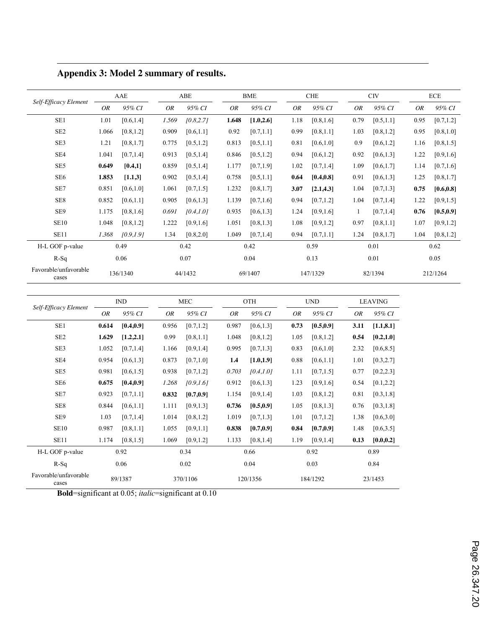|                                | AAE   |            |       | ABE        |       | <b>BME</b> |      | <b>CHE</b> |      | <b>CIV</b> |      | ECE        |  |
|--------------------------------|-------|------------|-------|------------|-------|------------|------|------------|------|------------|------|------------|--|
| Self-Efficacy Element          |       |            |       |            |       |            |      |            |      |            |      |            |  |
|                                | OR    | 95% CI     | OR    | 95% CI     | OR    | 95% CI     | OR   | 95% CI     | OR   | 95% CI     | OR   | 95% CI     |  |
| SE1                            | 1.01  | [0.6, 1.4] | 1.569 | [0.8, 2.7] | 1.648 | [1.0, 2.6] | 1.18 | [0.8, 1.6] | 0.79 | [0.5, 1.1] | 0.95 | [0.7, 1.2] |  |
| SE <sub>2</sub>                | 1.066 | [0.8, 1.2] | 0.909 | [0.6, 1.1] | 0.92  | [0.7, 1.1] | 0.99 | [0.8, 1.1] | 1.03 | [0.8, 1.2] | 0.95 | [0.8, 1.0] |  |
| SE3                            | 1.21  | [0.8, 1.7] | 0.775 | [0.5, 1.2] | 0.813 | [0.5, 1.1] | 0.81 | [0.6, 1.0] | 0.9  | [0.6, 1.2] | 1.16 | [0.8, 1.5] |  |
| SE4                            | 1.041 | [0.7, 1.4] | 0.913 | [0.5, 1.4] | 0.846 | [0.5, 1.2] | 0.94 | [0.6, 1.2] | 0.92 | [0.6, 1.3] | 1.22 | [0.9, 1.6] |  |
| SE <sub>5</sub>                | 0.649 | [0.4,1]    | 0.859 | [0.5, 1.4] | 1.177 | [0.7, 1.9] | 1.02 | [0.7, 1.4] | 1.09 | [0.6, 1.7] | 1.14 | [0.7, 1.6] |  |
| SE <sub>6</sub>                | 1.853 | [1.1,3]    | 0.902 | [0.5, 1.4] | 0.758 | [0.5, 1.1] | 0.64 | [0.4, 0.8] | 0.91 | [0.6, 1.3] | 1.25 | [0.8, 1.7] |  |
| SE7                            | 0.851 | [0.6, 1.0] | 1.061 | [0.7, 1.5] | 1.232 | [0.8, 1.7] | 3.07 | [2.1, 4.3] | 1.04 | [0.7, 1.3] | 0.75 | [0.6, 0.8] |  |
| SE8                            | 0.852 | [0.6, 1.1] | 0.905 | [0.6, 1.3] | 1.139 | [0.7, 1.6] | 0.94 | [0.7, 1.2] | 1.04 | [0.7, 1.4] | 1.22 | [0.9, 1.5] |  |
| SE9                            | 1.175 | [0.8, 1.6] | 0.691 | [0.4, 1.0] | 0.935 | [0.6, 1.3] | 1.24 | [0.9, 1.6] | 1    | [0.7, 1.4] | 0.76 | [0.5, 0.9] |  |
| <b>SE10</b>                    | 1.048 | [0.8, 1.2] | 1.222 | [0.9, 1.6] | 1.051 | [0.8, 1.3] | 1.08 | [0.9, 1.2] | 0.97 | [0.8, 1.1] | 1.07 | [0.9, 1.2] |  |
| <b>SE11</b>                    | 1.368 | [0.9, 1.9] | 1.34  | [0.8, 2.0] | 1.049 | [0.7, 1.4] | 0.94 | [0.7, 1.1] | 1.24 | [0.8, 1.7] | 1.04 | [0.8, 1.2] |  |
| H-L GOF p-value                |       | 0.49       |       | 0.42       |       | 0.42       |      | 0.59       |      | 0.01       |      | 0.62       |  |
| $R-Sq$                         |       | 0.06       |       | 0.07       |       | 0.04       |      | 0.13       |      | 0.01       |      | 0.05       |  |
| Favorable/unfavorable<br>cases |       | 136/1340   |       | 44/1432    |       | 69/1407    |      | 147/1329   |      | 82/1394    |      | 212/1264   |  |

**Appendix 3: Model 2 summary of results.**

 $\overline{\phantom{a}}$ 

| Self-Efficacy Element          | IND     |            | <b>MEC</b> |            | <b>OTH</b> |            | <b>UND</b> |            | <b>LEAVING</b> |            |
|--------------------------------|---------|------------|------------|------------|------------|------------|------------|------------|----------------|------------|
|                                | OR      | 95% CI     | OR         | 95% CI     | OR         | 95% CI     | OR         | 95% CI     | OR             | 95% CI     |
| SE <sub>1</sub>                | 0.614   | [0.4, 0.9] | 0.956      | [0.7, 1.2] | 0.987      | [0.6, 1.3] | 0.73       | [0.5, 0.9] | 3.11           | [1.1, 8.1] |
| SE <sub>2</sub>                | 1.629   | [1.2, 2.1] | 0.99       | [0.8, 1.1] | 1.048      | [0.8, 1.2] | 1.05       | [0.8, 1.2] | 0.54           | [0.2, 1.0] |
| SE3                            | 1.052   | [0.7, 1.4] | 1.166      | [0.9, 1.4] | 0.995      | [0.7, 1.3] | 0.83       | [0.6, 1.0] | 2.32           | [0.6, 8.5] |
| SE4                            | 0.954   | [0.6, 1.3] | 0.873      | [0.7, 1.0] | 1.4        | [1.0, 1.9] | 0.88       | [0.6, 1.1] | 1.01           | [0.3, 2.7] |
| SE5                            | 0.981   | [0.6, 1.5] | 0.938      | [0.7, 1.2] | 0.703      | [0.4, 1.0] | 1.11       | [0.7, 1.5] | 0.77           | [0.2, 2.3] |
| SE <sub>6</sub>                | 0.675   | [0.4, 0.9] | 1.268      | [0.9, 1.6] | 0.912      | [0.6, 1.3] | 1.23       | [0.9, 1.6] | 0.54           | [0.1, 2.2] |
| SE7                            | 0.923   | [0.7, 1.1] | 0.832      | [0.7, 0.9] | 1.154      | [0.9, 1.4] | 1.03       | [0.8, 1.2] | 0.81           | [0.3, 1.8] |
| SE8                            | 0.844   | [0.6, 1.1] | 1.111      | [0.9, 1.3] | 0.736      | [0.5, 0.9] | 1.05       | [0.8, 1.3] | 0.76           | [0.3, 1.8] |
| SE9                            | 1.03    | [0.7, 1.4] | 1.014      | [0.8, 1.2] | 1.019      | [0.7, 1.3] | 1.01       | [0.7, 1.2] | 1.38           | [0.6, 3.0] |
| <b>SE10</b>                    | 0.987   | [0.8, 1.1] | 1.055      | [0.9, 1.1] | 0.838      | [0.7, 0.9] | 0.84       | [0.7, 0.9] | 1.48           | [0.6, 3.5] |
| SE <sub>11</sub>               | 1.174   | [0.8, 1.5] | 1.069      | [0.9, 1.2] | 1.133      | [0.8, 1.4] | 1.19       | [0.9, 1.4] | 0.13           | [0.0, 0.2] |
| H-L GOF p-value                | 0.92    |            | 0.34       |            | 0.66       |            | 0.92       |            | 0.89           |            |
| $R-Sq$                         | 0.06    |            | 0.02       |            | 0.04       |            | 0.03       |            | 0.84           |            |
| Favorable/unfavorable<br>cases | 89/1387 |            | 370/1106   |            | 120/1356   |            | 184/1292   |            | 23/1453        |            |

**Bold**=significant at 0.05; *italic*=significant at 0.10